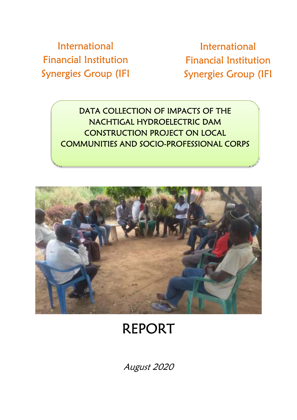International Financial Institution Synergies Group (IFI

International Financial Institution Synergies Group (IFI

DATA COLLECTION OF IMPACTS OF THE NACHTIGAL HYDROELECTRIC DAM CONSTRUCTION PROJECT ON LOCAL COMMUNITIES AND SOCIO-PROFESSIONAL CORPS



# REPORT

August 2020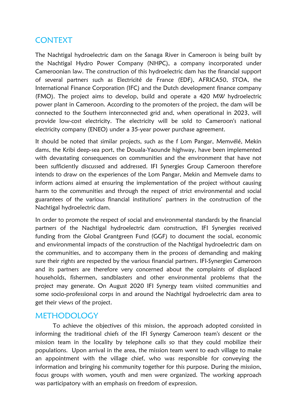## CONTEXT

The Nachtigal hydroelectric dam on the Sanaga River in Cameroon is being built by the Nachtigal Hydro Power Company (NHPC), a company incorporated under Cameroonian law. The construction of this hydroelectric dam has the financial support of several partners such as Electricité de France (EDF), AFRICA50, STOA, the International Finance Corporation (IFC) and the Dutch development finance company (FMO). The project aims to develop, build and operate a 420 MW hydroelectric power plant in Cameroon. According to the promoters of the project, the dam will be connected to the Southern interconnected grid and, when operational in 2023, will provide low-cost electricity. The electricity will be sold to Cameroon's national electricity company (ENEO) under a 35-year power purchase agreement.

It should be noted that similar projects, such as the f Lom Pangar, Memvélé, Mekin dams, the Kribi deep-sea port, the Douala-Yaounde highway, have been implemented with devastating consequences on communities and the environment that have not been sufficiently discussed and addressed. IFI Synergies Group Cameroon therefore intends to draw on the experiences of the Lom Pangar, Mekin and Memvele dams to inform actions aimed at ensuring the implementation of the project without causing harm to the communities and through the respect of strict environmental and social guarantees of the various financial institutions' partners in the construction of the Nachtigal hydroelectric dam.

In order to promote the respect of social and environmental standards by the financial partners of the Nachtigal hydroelectric dam construction, IFI Synergies received funding from the Global Grantgreen Fund (GGF) to document the social, economic and environmental impacts of the construction of the Nachtigal hydroelectric dam on the communities, and to accompany them in the process of demanding and making sure their rights are respected by the various financial partners. IFI-Synergies Cameroon and its partners are therefore very concerned about the complaints of displaced households, fishermen, sandblasters and other environmental problems that the project may generate. On August 2020 IFI Synergy team visited communities and some socio-professional corps in and around the Nachtigal hydroelectric dam area to get their views of the project.

## METHODOLOGY

To achieve the objectives of this mission, the approach adopted consisted in informing the traditional chiefs of the IFI Synergy Cameroon team's descent or the mission team in the locality by telephone calls so that they could mobilize their populations. Upon arrival in the area, the mission team went to each village to make an appointment with the village chief, who was responsible for conveying the information and bringing his community together for this purpose. During the mission, focus groups with women, youth and men were organized. The working approach was participatory with an emphasis on freedom of expression.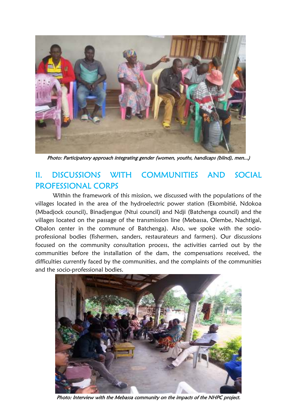

Photo: Participatory approach integrating gender (women, youths, handicaps (blind), men...)

# II. DISCUSSIONS WITH COMMUNITIES AND SOCIAL PROFESSIONAL CORPS

Within the framework of this mission, we discussed with the populations of the villages located in the area of the hydroelectric power station (Ekombitié, Ndokoa (Mbadjock council), Binadjengue (Ntui council) and Ndji (Batchenga council) and the villages located on the passage of the transmission line (Mebassa, Olembe, Nachtigal, Obalon center in the commune of Batchenga). Also, we spoke with the socioprofessional bodies (fishermen, sanders, restaurateurs and farmers). Our discussions focused on the community consultation process, the activities carried out by the communities before the installation of the dam, the compensations received, the difficulties currently faced by the communities, and the complaints of the communities and the socio-professional bodies.



Photo: Interview with the Mebassa community on the impacts of the NHPC project.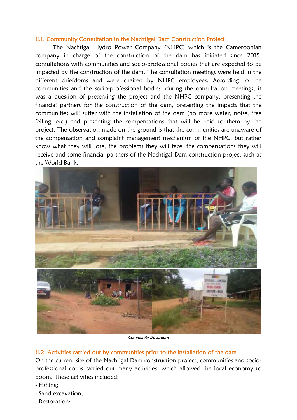#### II.1. Community Consultation in the Nachtigal Dam Construction Project

The Nachtigal Hydro Power Company (NHPC) which is the Cameroonian company in charge of the construction of the dam has initiated since 2015, consultations with communities and socio-professional bodies that are expected to be impacted by the construction of the dam. The consultation meetings were held in the different chiefdoms and were chaired by NHPC employees. According to the communities and the socio-professional bodies, during the consultation meetings, it was a question of presenting the project and the NHPC company, presenting the financial partners for the construction of the dam, presenting the impacts that the communities will suffer with the installation of the dam (no more water, noise, tree felling, etc.) and presenting the compensations that will be paid to them by the project. The observation made on the ground is that the communities are unaware of the compensation and complaint management mechanism of the NHPC, but rather know what they will lose, the problems they will face, the compensations they will receive and some financial partners of the Nachtigal Dam construction project such as the World Bank.



Community Discussions

#### II.2. Activities carried out by communities prior to the installation of the dam

On the current site of the Nachtigal Dam construction project, communities and socioprofessional corps carried out many activities, which allowed the local economy to boom. These activities included:

- Fishing;
- Sand excavation;
- Restoration;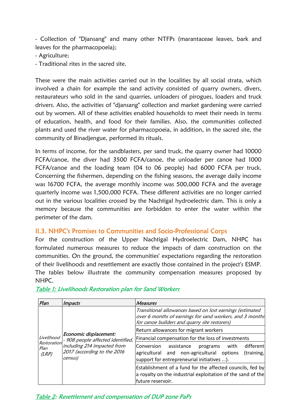- Collection of "Djansang" and many other NTFPs (marantaceae leaves, bark and leaves for the pharmacopoeia);

- Agriculture;
- Traditional rites in the sacred site.

These were the main activities carried out in the localities by all social strata, which involved a chain for example the sand activity consisted of quarry owners, divers, restaurateurs who sold in the sand quarries, unloaders of pirogues, loaders and truck drivers. Also, the activities of "djansang" collection and market gardening were carried out by women. All of these activities enabled households to meet their needs in terms of education, health, and food for their families. Also, the communities collected plants and used the river water for pharmacopoeia, in addition, in the sacred site, the community of Binadjengue, performed its rituals.

In terms of income, for the sandblasters, per sand truck, the quarry owner had 10000 FCFA/canoe, the diver had 3500 FCFA/canoe, the unloader per canoe had 1000 FCFA/canoe and the loading team (04 to 06 people) had 6000 FCFA per truck. Concerning the fishermen, depending on the fishing seasons, the average daily income was 16700 FCFA, the average monthly income was 500,000 FCFA and the average quarterly income was 1,500,000 FCFA. These different activities are no longer carried out in the various localities crossed by the Nachtigal hydroelectric dam. This is only a memory because the communities are forbidden to enter the water within the perimeter of the dam.

#### II.3. NHPC's Promises to Communities and Socio-Professional Corps

For the construction of the Upper Nachtigal Hydroelectric Dam, NHPC has formulated numerous measures to reduce the impacts of dam construction on the communities. On the ground, the communities' expectations regarding the restoration of their livelihoods and resettlement are exactly those contained in the project's ESMP. The tables below illustrate the community compensation measures proposed by NHPC.

| Plan                                       | <i><b>Impacts</b></i>                                                                                                                | <b>Measures</b>                                                                                                                                                        |
|--------------------------------------------|--------------------------------------------------------------------------------------------------------------------------------------|------------------------------------------------------------------------------------------------------------------------------------------------------------------------|
| Livelihood<br>Restoration<br>Plan<br>(LRP) | Economic displacement:<br>- 908 people affected identified,<br>including 214 impacted from<br>2017 (according to the 2016<br>census) | Transitional allowances based on lost earnings (estimated<br>over 6 months of earnings for sand workers, and 3 months<br>for canoe builders and quarry site restorers) |
|                                            |                                                                                                                                      | Return allowances for migrant workers                                                                                                                                  |
|                                            |                                                                                                                                      | Financial compensation for the loss of investments                                                                                                                     |
|                                            |                                                                                                                                      | different<br>lConversion<br>assistance<br>with<br>programs<br>agricultural and non-agricultural options<br>(training,<br>support for entrepreneurial initiatives ).    |
|                                            |                                                                                                                                      | Establishment of a fund for the affected councils, fed by<br>a royalty on the industrial exploitation of the sand of the<br>future reservoir.                          |

## Table 1: Livelihoods Restoration plan for Sand Workers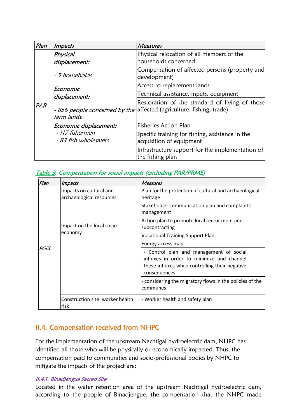| Plan | Impacts                                  | <b>Measures</b>                                                                                                        |
|------|------------------------------------------|------------------------------------------------------------------------------------------------------------------------|
| PAR  | Physical<br>displacement:                | Physical relocation of all members of the<br>households concerned                                                      |
|      | - 5 households                           | Compensation of affected persons (property and<br>development)                                                         |
|      | Economic<br>displacement:                | Access to replacement lands                                                                                            |
|      |                                          | Technical assistance, inputs, equipment                                                                                |
|      | farm lands.                              | Restoration of the standard of living of those<br>- 856 people concerned by the affected (agriculture, fishing, trade) |
|      | Economic displacement:                   | <b>Fisheries Action Plan</b>                                                                                           |
|      | - 117 fishermen<br>- 83 fish wholesalers | Specific training for fishing, assistance in the<br>acquisition of equipment                                           |
|      |                                          | Infrastructure support for the implementation of<br>the fishing plan                                                   |

## Table 3: Compensation for social impacts (excluding PAR/PRME)

| Plan | <i>Impacts</i>                                      | <b>Measures</b>                                                                                                                                          |
|------|-----------------------------------------------------|----------------------------------------------------------------------------------------------------------------------------------------------------------|
| PGES | Impacts on cultural and<br>archaeological resources | Plan for the protection of cultural and archaeological<br>heritage                                                                                       |
|      | Impact on the local socio<br>economy                | Stakeholder communication plan and complaints<br>management                                                                                              |
|      |                                                     | Action plan to promote local recruitment and<br>subcontracting                                                                                           |
|      |                                                     | <b>Vocational Training Support Plan</b>                                                                                                                  |
|      |                                                     | Energy access map                                                                                                                                        |
|      |                                                     | - Control plan and management of social<br>influxes in order to minimize and channel<br>these influxes while controlling their negative<br>consequences: |
|      |                                                     | - considering the migratory flows in the policies of the<br>communes                                                                                     |
|      | Construction site: worker health<br>risk            | - Worker health and safety plan                                                                                                                          |

## II.4. Compensation received from NHPC

For the implementation of the upstream Nachtigal hydroelectric dam, NHPC has identified all those who will be physically or economically impacted. Thus, the compensation paid to communities and socio-professional bodies by NHPC to mitigate the impacts of the project are:

#### II.4.1. Binadjengue Sacred Site

Located in the water retention area of the upstream Nachtigal hydroelectric dam, according to the people of Binadjengue, the compensation that the NHPC made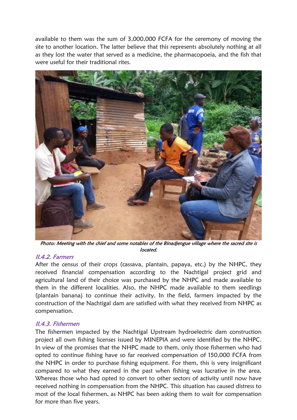available to them was the sum of 3,000,000 FCFA for the ceremony of moving the site to another location. The latter believe that this represents absolutely nothing at all as they lost the water that served as a medicine, the pharmacopoeia, and the fish that were useful for their traditional rites.



Photo: Meeting with the chief and some notables of the Binadjengue village where the sacred site is located.

#### II.4.2. Farmers

After the census of their crops (cassava, plantain, papaya, etc.) by the NHPC, they received financial compensation according to the Nachtigal project grid and agricultural land of their choice was purchased by the NHPC and made available to them in the different localities. Also, the NHPC made available to them seedlings (plantain banana) to continue their activity. In the field, farmers impacted by the construction of the Nachtigal dam are satisfied with what they received from NHPC as compensation.

#### II.4.3. Fishermen

The fishermen impacted by the Nachtigal Upstream hydroelectric dam construction project all own fishing licenses issued by MINEPIA and were identified by the NHPC. In view of the promises that the NHPC made to them, only those fishermen who had opted to continue fishing have so far received compensation of 150,000 FCFA from the NHPC in order to purchase fishing equipment. For them, this is very insignificant compared to what they earned in the past when fishing was lucrative in the area. Whereas those who had opted to convert to other sectors of activity until now have received nothing in compensation from the NHPC. This situation has caused distress to most of the local fishermen, as NHPC has been asking them to wait for compensation for more than five years.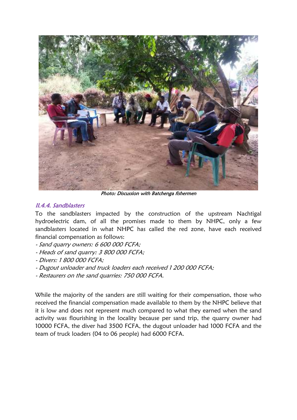

Photo: Discussion with Batchenga fishermen

### II.4.4. Sandblasters

To the sandblasters impacted by the construction of the upstream Nachtigal hydroelectric dam, of all the promises made to them by NHPC, only a few sandblasters located in what NHPC has called the red zone, have each received financial compensation as follows:

- Sand quarry owners: 6 600 000 FCFA;
- Heads of sand quarry: 3 800 000 FCFA;
- Divers: 1 800 000 FCFA;
- Dugout unloader and truck loaders each received 1 200 000 FCFA;
- Restaurers on the sand quarries: 750 000 FCFA.

While the majority of the sanders are still waiting for their compensation, those who received the financial compensation made available to them by the NHPC believe that it is low and does not represent much compared to what they earned when the sand activity was flourishing in the locality because per sand trip, the quarry owner had 10000 FCFA, the diver had 3500 FCFA, the dugout unloader had 1000 FCFA and the team of truck loaders (04 to 06 people) had 6000 FCFA.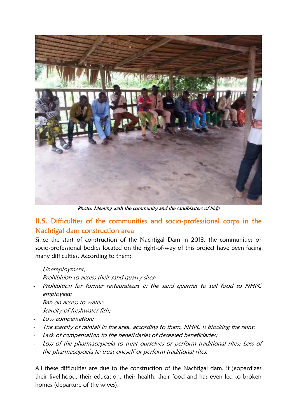

Photo: Meeting with the community and the sandblasters of Ndji

## II.5. Difficulties of the communities and socio-professional corps in the Nachtigal dam construction area

Since the start of construction of the Nachtigal Dam in 2018, the communities or socio-professional bodies located on the right-of-way of this project have been facing many difficulties. According to them;

- Unemployment;
- Prohibition to access their sand quarry sites;
- Prohibition for former restaurateurs in the sand quarries to sell food to NHPC employees;
- Ban on access to water:
- Scarcity of freshwater fish;
- Low compensation;
- The scarcity of rainfall in the area, according to them, NHPC is blocking the rains;
- Lack of compensation to the beneficiaries of deceased beneficiaries;
- Loss of the pharmacopoeia to treat ourselves or perform traditional rites; Loss of the pharmacopoeia to treat oneself or perform traditional rites.

All these difficulties are due to the construction of the Nachtigal dam, it jeopardizes their livelihood, their education, their health, their food and has even led to broken homes (departure of the wives).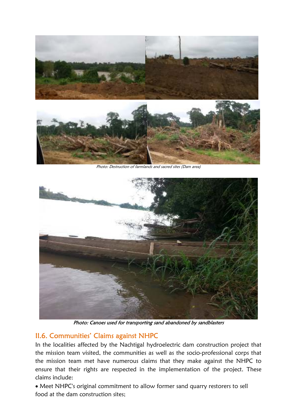

Photo: Destruction of farmlands and sacred sites (Dam area)



Photo: Canoes used for transporting sand abandoned by sandblasters

## II.6. Communities' Claims against NHPC

In the localities affected by the Nachtigal hydroelectric dam construction project that the mission team visited, the communities as well as the socio-professional corps that the mission team met have numerous claims that they make against the NHPC to ensure that their rights are respected in the implementation of the project. These claims include:

 Meet NHPC's original commitment to allow former sand quarry restorers to sell food at the dam construction sites;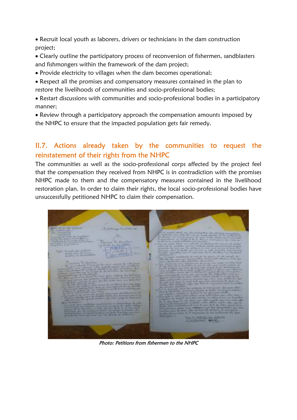Recruit local youth as laborers, drivers or technicians in the dam construction project;

 Clearly outline the participatory process of reconversion of fishermen, sandblasters and fishmongers within the framework of the dam project;

- Provide electricity to villages when the dam becomes operational;
- Respect all the promises and compensatory measures contained in the plan to restore the livelihoods of communities and socio-professional bodies;
- Restart discussions with communities and socio-professional bodies in a participatory manner;
- Review through a participatory approach the compensation amounts imposed by the NHPC to ensure that the impacted population gets fair remedy.

## II.7. Actions already taken by the communities to request the reinstatement of their rights from the NHPC

The communities as well as the socio-professional corps affected by the project feel that the compensation they received from NHPC is in contradiction with the promises NHPC made to them and the compensatory measures contained in the livelihood restoration plan. In order to claim their rights, the local socio-professional bodies have unsuccessfully petitioned NHPC to claim their compensation.

. .

Photo: Petitions from fishermen to the NHPC